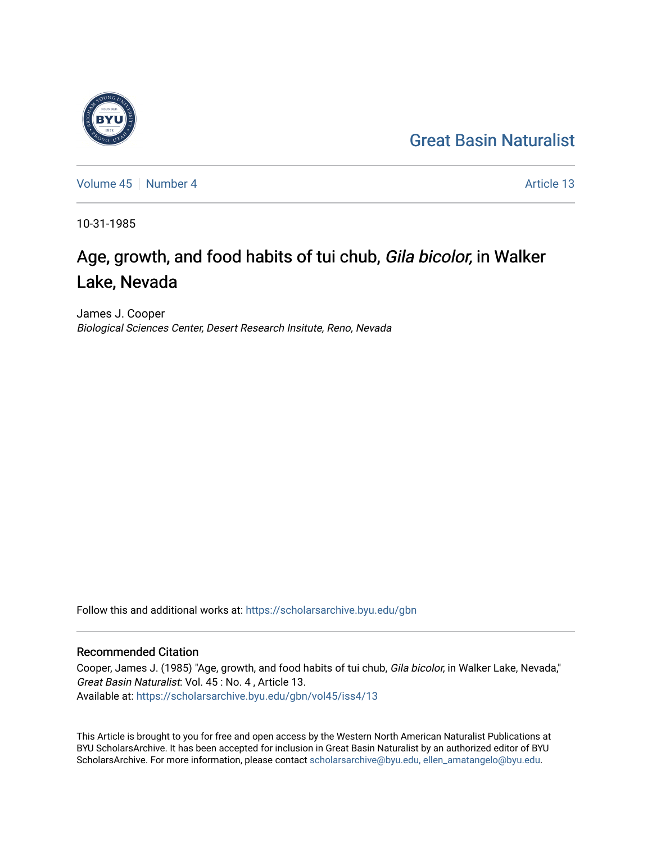## [Great Basin Naturalist](https://scholarsarchive.byu.edu/gbn)



[Volume 45](https://scholarsarchive.byu.edu/gbn/vol45) | [Number 4](https://scholarsarchive.byu.edu/gbn/vol45/iss4) Article 13

10-31-1985

# Age, growth, and food habits of tui chub, Gila bicolor, in Walker Lake, Nevada

James J. Cooper Biological Sciences Center, Desert Research Insitute, Reno, Nevada

Follow this and additional works at: [https://scholarsarchive.byu.edu/gbn](https://scholarsarchive.byu.edu/gbn?utm_source=scholarsarchive.byu.edu%2Fgbn%2Fvol45%2Fiss4%2F13&utm_medium=PDF&utm_campaign=PDFCoverPages) 

### Recommended Citation

Cooper, James J. (1985) "Age, growth, and food habits of tui chub, Gila bicolor, in Walker Lake, Nevada," Great Basin Naturalist: Vol. 45 : No. 4 , Article 13. Available at: [https://scholarsarchive.byu.edu/gbn/vol45/iss4/13](https://scholarsarchive.byu.edu/gbn/vol45/iss4/13?utm_source=scholarsarchive.byu.edu%2Fgbn%2Fvol45%2Fiss4%2F13&utm_medium=PDF&utm_campaign=PDFCoverPages) 

This Article is brought to you for free and open access by the Western North American Naturalist Publications at BYU ScholarsArchive. It has been accepted for inclusion in Great Basin Naturalist by an authorized editor of BYU ScholarsArchive. For more information, please contact [scholarsarchive@byu.edu, ellen\\_amatangelo@byu.edu.](mailto:scholarsarchive@byu.edu,%20ellen_amatangelo@byu.edu)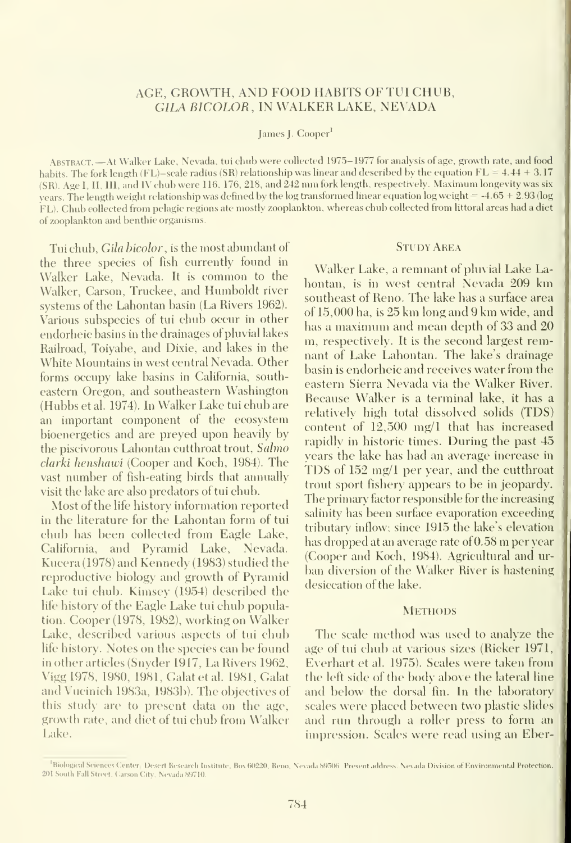#### AGE, GROWTH, AND FOOD HABITS OFTUI CHUB, GILA BICOLOR, IN WALKER LAKE, NEVADA

#### James J. Cooper<sup>1</sup>

Abstract. —At Walker Lake, Nevada, tui chub were collected 1975-1977 for analysis of age, growth rate, and food habits. The fork length (FL)-scale radius (SR) relationship was linear and described by the equation  $FL = 4.44 + 3.17$ (SR). Age I, II, III, and IV chub were <sup>1</sup> 16, 176, 218, and <sup>242</sup> mm fork length, respectively. Ma.ximum longevity was six years. The length weight relationship was defined by the log transformed linear equation log weight = -4.65 + 2.93 (log FL). Chub collected from pelagic regions ate mostly zooplankton, whereas chub collected from littoral areas had <sup>a</sup> diet of zooplankton and benthic organisms.

Tui chub, Gila bicolor, is the most abundant of the three species of fish currently found in Walker Lake, Nevada. It is common to the Walker, Carson, Truckee, and Humboldt river systems of the Lahontan basin (La Rivers 1962). Various subspecies of tui chub occur in other endorheic basins in the drainages of pluvial lakes Railroad, Toiyabe, and Dixie, and lakes in the White Mountains in west central Nevada. Other forms occupy lake basins in California, southeastern Oregon, and southeastern Washington (Hubbs et al. 1974). In Walker Lake tui chub are an important component of the ecosystem bioenergetics and are preyed upon heavily by the piscivorous Lahontan cutthroat trout, Sahno clarki henshawi (Cooper and Koch, 1984). The vast number of fish-eating birds that annually visit the lake are also predators of tui chub.

Most of the life history information reported in the literature for the Lahontan form of tui chub has been collected from Eagle Lake, California, and Pyramid Lake, Nevada. Kucera (1978) and Kennedy (1983) studied the reproductive biology and growth of Pyramid Lake tui chub. Kimsey (1954) described the life history of the Eagle Lake tui chub population. Cooper (1978, 1982), working on Walker Lake, described various aspects of tui chub life history. Notes on the species can be found in other articles (Snvder 1917, La Rivers 1962, Vigg 1978, 1980, 1981, Galatetal. 1981, Galat and Vucinich 1983a, 1983b). The objectives of this study are to present data on the age, growth rate, and diet of tui chub from Walker Lake.

#### **STUDY AREA**

Walker Lake, a remnant of pluvial Lake Lahontan, is in west central Nevada 209 km southeast of Reno. The lake has a surface area of 15,000 ha, is 25 km long and 9 km wide, and has <sup>a</sup> maximum and mean depth of 33 and 20 m, respectively. It is the second largest remnant of Lake Lahontan. The lake's drainage basin isendorheic and receives water from the eastern Sierra Nevada via the Walker River. Because Walker is a terminal lake, it has a relatively high total dissolved solids (TDS) content of 12,500 mg/1 that has increased rapidly in historic times. During the past 45 years the lake has had an average increase in TDS of 152 mg/1 per year, and the cutthroat trout sport fishery appears to be in jeopardy. The primary factor responsible for the increasing salinity has been surface evaporation exceeding tributary inflow; since 1915 the lake's elevation has dropped at an average rate of 0.58 m per year (Cooper and Koch, 1984). Agricultural and ur ban diversion of the Walker River is hastening desiccation of the lake.

#### **METHODS**

The scale method was used to analyze the age of tui chub at various sizes (Ricker I97I, Everhart et al. 1975). Scales were taken from the left side of the body above the lateral line and below the dorsal fin. In the laboratory scales were placed between two plastic slides and run through a roller press to form an impression. Scales were read using an Eber-

<sup>&</sup>lt;sup>1</sup>Biological Sciences Center, Desert Research Institute, Box 60220, Reno, Nevada 59506 Present address. Nevada Division of Environmental Protection, 201 South Fall Street, Carson City, Nevada 89710.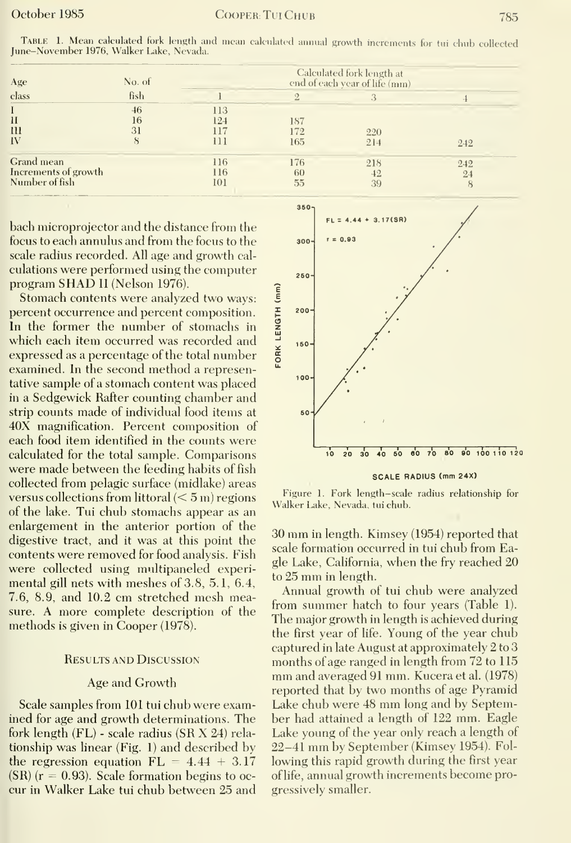| Age<br>class                                         | No. of         |                          |                   |                 |           |
|------------------------------------------------------|----------------|--------------------------|-------------------|-----------------|-----------|
|                                                      | fish           |                          | Ω                 |                 |           |
| П<br>$\overline{\mathfrak{m}}$<br>IV                 | 46<br>16<br>31 | 113<br>124<br>117<br>111 | 187<br>172<br>165 | 220<br>21.4     | 242       |
| Grand mean<br>Increments of growth<br>Number of fish |                | 116<br>116<br>101        | 176<br>60<br>55   | 218<br>42<br>39 | 242<br>24 |

Table 1. Mean calculated fork length and moan cakiiiati-d annual growth increments for tui chub collected June-November 1976, Walker Lake, Nevada.

bach microprojector and the distance from the focus to each annulus and from the focus to the scale radius recorded. All age and growth calculations were performed using the computer program SHAD II (Nelson 1976).

Stomach contents were analyzed two ways: percent occurrence and percent composition. In the former the number of stomachs in which each item occurred was recorded and expressed as a percentage of the total number examined. In the second method a representative sample of a stomach content was placed in a Sedgewick Rafter counting chamber and strip counts made of individual food items at 40X magnification. Percent composition of each food item identified in the counts were calculated for the total sample. Comparisons were made between the feeding habits of fish collected from pelagic surface (midlake) areas versus collections from littoral  $(< 5 \,\mathrm{m})$  regions of the lake. Tui chub stomachs appear as an enlargement in the anterior portion of the digestive tract, and it was at this point the contents were removed for food analysis. Fish were collected using multipaneled experimental gill nets with meshes of 3.8, 5.1, 6.4, 7.6, 8.9, and 10.2 cm stretched mesh measure. A more complete description of the methods is given in Cooper (1978).

#### **RESULTS AND DISCUSSION**

#### Age and Growth

Scale samples from 101 tui chub were examined for age and growth determinations. The fork length (FL) - scale radius (SR X 24) relationship was linear (Fig. 1) and described by the regression equation  $FL = 4.44 + 3.17$  $(SR)$  ( $r = 0.93$ ). Scale formation begins to occur in Walker Lake tui chub between 25 and



**SCALE RADIUS (mm 24X)** 

Figure 1. Fork length-scale radius relationship for Walker Lake, Nevada, tui chub.

30 mm in length. Kimsey (1954) reported that scale formation occurred in tui chub from Eagle Lake, California, when the fry reached 20 to 25 mm in length.

Annual growth of tui chub were analyzed from summer hatch to four years (Table 1). The major growth in length is achieved during the first year of life. Young of the year chub captured in late August at approximately 2 to 3 months of age ranged in length from 72 to 115 mm and averaged 91 mm. Kucera et al. (1978) reported that by two months of age Pyramid Lake chub were 48 mm long and by September had attained a length of 122 mm. Eagle Lake young of the year only reach a length of 22–41 mm by September (Kimsey 1954). Following this rapid growth during the first year of life, annual growth increments become progressively smaller.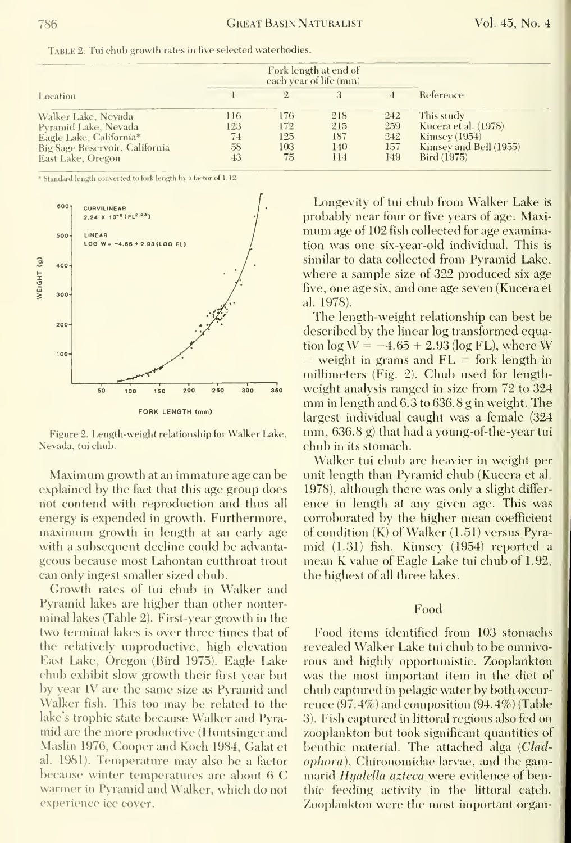|                                | Fork length at end of<br>each year of life (mm) |     |     |     |                        |  |
|--------------------------------|-------------------------------------------------|-----|-----|-----|------------------------|--|
| Location                       |                                                 |     |     |     | Reference              |  |
| Walker Lake, Nevada            | 116                                             | 176 | 218 | 242 | This study             |  |
| Pyramid Lake, Nevada           | 123                                             | 172 | 215 | 259 | Kucera et al. (1978)   |  |
| Eagle Lake, California*        | 74                                              | 125 | 187 | 242 | <b>Kimsey</b> (1954)   |  |
| Big Sage Reservoir, California | 58                                              | 103 | 140 | 157 | Kimsey and Bell (1955) |  |
| East Lake, Oregon              | 43                                              | 75  | 114 | 149 | Bird (1975)            |  |

Table 2. Tui chub growth rates in five selected waterbodies.

\* Standard length converted to fork length by a factor of 1.12



Figure 2. Length-weight relationship for Walker Lake, Nevada, tui chub.

Maximum growth at an immature age can be explained by the fact that this age group does not contend with reproduction and thus all energy is expended in growth. Furthermore, maximum growth in length at an early age with a subsequent decline could be advantageous because most Lahontan cutthroat trout can only ingest smaller sized chub.

Growth rates of tui chub in Walker and Pyramid lakes are higher than other nonterminal lakes (Table 2). First-year growth in the two terminal lakes is over three times that of the relatively unproductive, high elevation East Lake, Oregon (Bird 1975). Eagle Lake chub exhibit slow growth their first year but by year IV are the same size as Pyramid and Walker fish. This too may be related to the lake's trophic state because Walker and Pyramid are the more productive (Huntsinger and Maslin 1976, Cooper and Koch 1984, Galat et al. 1981). Temperature may also be a factor because winter temperatures are about 6 C warmer in Pyramid and Walker, which do not experience ice cover.

Longevity of tui chub from Walker Lake is probably near four or five years of age. Maximum age of 102 fish collected for age examination was one six-year-old individual. This is similar to data collected from Pyramid Lake, where a sample size of 322 produced six age five, one age six, and one age seven (Kucera et al. 1978).

The length-weight relationship can best be described by the linear log transformed equation  $\log W = -4.65 + 2.93$  (log FL), where W = weight in grams and  $FL =$  fork length in millimeters (Fig. 2). Chub used for lengthweight analysis ranged in size from 72 to 324 mm in length and 6.3 to 636.8 g in weight. The largest individual caught was a female (324 mm, 636.8 g) that had a young-of-the-year tui chub in its stomach.

Walker tui chub are heavier in weight per unit length than Pyramid chub (Kucera et al. 1978), although there was only a slight difference in length at any given age. This was corroborated by the higher mean coefficient of condition  $(K)$  of Walker  $(1.51)$  versus Pyramid (1.31) fish. Kimsey (1954) reported a mean K value of Eagle Lake tui chub of 1.92. the highest of all three lakes.

#### Food

Food items identified from 103 stomachs revealed Walker Lake tui chub to be omnivorous and highly opportunistic. Zooplankton was the most important item in the diet of chub captured in pelagic water by both occurrence  $(97.4\%)$  and composition  $(94.4\%)$  (Table 3). Fish captured in littoral regions also fed on zooplankton but took significant quantities of benthic material. The attached alga (Clad*ophora*), Chironomidae larvae, and the gammarid Hyalella azteca were evidence of benthic feeding activity in the littoral catch. Zooplankton were the most important organ-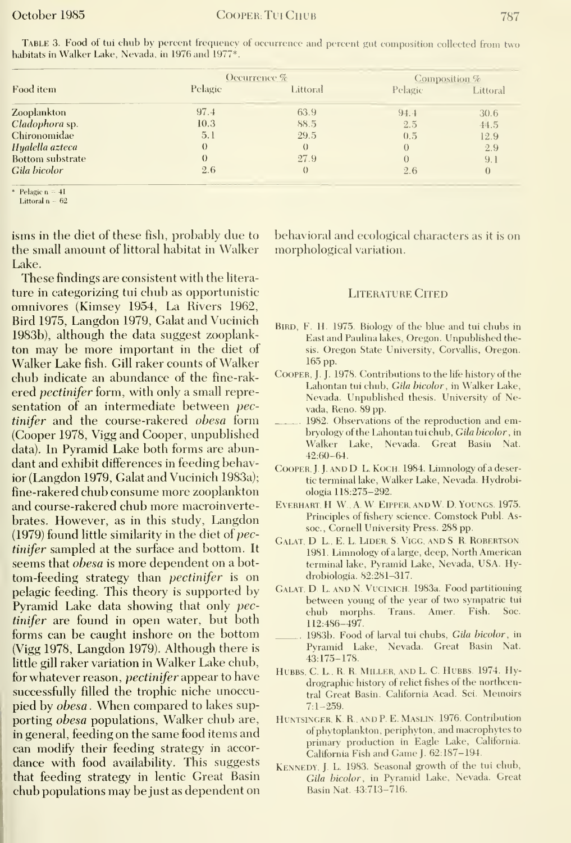|  |  | $\sqrt{2}$ |
|--|--|------------|
|  |  |            |
|  |  |            |

| <b>TABLE 3. Food of tul chub by percent frequency of occurrence and percent gut composition collected from two</b> |  |  |  |  |
|--------------------------------------------------------------------------------------------------------------------|--|--|--|--|
| habitats in Walker Lake, Nevada, in 1976 and 1977*.                                                                |  |  |  |  |

|                                                              | Occurrence % | Composition %    |          |          |
|--------------------------------------------------------------|--------------|------------------|----------|----------|
| Food item                                                    | Pelagie      | Littoral         | Pelagic  | Littoral |
| Zooplankton                                                  | 97.4         | 63.9             | 94.4     | 30.6     |
| Cladophora sp.                                               | 10.3         | 88.5             | 2.5      | 44.5     |
| Chironomidae                                                 | 5.1          | 29.5             | 0.5      | 12.9     |
| Hyalella azteca                                              | $\theta$     | $\Omega$         | 0        | 2.9      |
| Bottom substrate                                             | $\Omega$     | 27.9             | $\theta$ | 9.1      |
| Gila bicolor                                                 | 2.6          | $\left( \right)$ | 2.6      | $\theta$ |
| the property of the control of the control of the control of |              |                  |          |          |

\* Pełagic  $n = 4I$ Littoral  $n - 62$ 

isms in the diet of these fish, probably due to the small amount of littoral habitat in Walker Lake.

These findings are consistent with the literature in categorizing tui chub as opportunistic omnivores (Kimsey 1954, La Rivers 1962, Bird 1975, Langdon 1979, Galat and Vucinich 1983b), although the data suggest zooplankton may be more important in the diet of Walker Lake fish. Gill raker counts of Walker chub indicate an abundance of the fine-rakered *pectinifer* form, with only a small representation of an intermediate between pectinifer and the course-rakered obesa form (Cooper 1978, Vigg and Cooper, unpublished data). In Pyramid Lake both forms are abundant and exhibit differences in feeding behavior (Langdon 1979, Galat and Vucinich 1983a); fine-rakered chub consume more zooplankton and course-rakered chub more macroinvertebrates. However, as in this study, Langdon  $(1979)$  found little similarity in the diet of pectinifer sampled at the surface and bottom. It seems that *obesa* is more dependent on a bottom-feeding strategy than *pectinifer* is on pelagic feeding. This theory is supported by Pyramid Lake data showing that only pectinifer are found in open water, but both forms can be caught inshore on the bottom (Vigg 1978, Langdon 1979). Although there is little gill raker variation in Walker Lake chub, for whatever reason, *pectinifer* appear to have successfully filled the trophic niche unoccupied by obesa. When compared to lakes supporting obesa populations, Walker chub are, in general, feeding on the same food items and can modify their feeding strategy in accordance with food availability. This suggests that feeding strategy in lentic Great Basin chub populations may be just as dependent on behavioral and ecological characters as it is on morphological variation.

#### **LITERATURE CITED**

- BIRD, F. H. 1975. Biology of the blue and tui chubs in East and Paulina lakes, Oregon. Unpublished thesis. Oregon State University, Corvallis, Oregon. 165 pp.
- COOPER, J. J. 1978. Contributions to the life history of the Lahontan tui chub, Gila bicolor, in Walker Lake, Nevada. Unpublished thesis. University of Nevada, Reno. 89 pp.
- 1982. Observations of the reproduction and embrvology of the Lahontan tui chub. Gila bicolor, in Walker Lake, Nevada. Great Basin Nat.  $42:60 - 64.$
- COOPER, J. J. AND D. L. KOCH. 1984. Limnology of a desertic terminal lake, Walker Lake, Nevada. Hydrobiologia 118:275-292.
- EVERHART. H. W., A. W. EIPPER, AND W. D. YOUNGS. 1975. Principles of fishery science. Comstock Publ. Assoc., Cornell University Press. 288 pp.
- GALAT, D. L., E. L. LIDER, S. VIGG, AND S. R. ROBERTSON 1981. Limnology of a large, deep, North American terminal lake, Pyramid Lake, Nevada, USA. Hydrobiologia. 82:281-317.
- GALAT. D. L. AND N. VUCINICH. 1983a. Food partitioning between young of the year of two sympatric tui Trans. Amer. Fish. Soc. chub morphs. 112:486-497.
- 1983b. Food of larval tui chubs, Gila bicolor, in Pyramid Lake, Nevada. Great Basin Nat.  $43:175 - 178.$
- HUBBS, C. L., R. R. MILLER, AND L. C. HUBBS. 1974. Hydrographic history of relict fishes of the northcentral Great Basin. California Acad. Sci. Memoirs  $7:1 - 259.$
- HUNTSINGER, K. R., AND P. E. MASLIN. 1976. Contribution of phytoplankton, periphyton, and macrophytes to primary production in Eagle Lake, California. California Fish and Game J. 62:187-194.
- KENNEDY, J. L. 1983. Seasonal growth of the tui chub, Gila bicolor, in Pyramid Lake, Nevada. Great Basin Nat. 43:713-716.